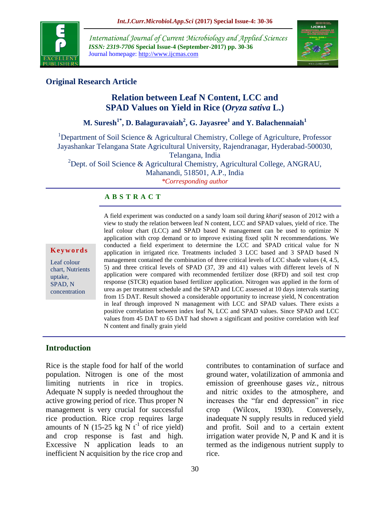

*International Journal of Current Microbiology and Applied Sciences ISSN: 2319-7706* **Special Issue-4 (September-2017) pp. 30-36** Journal homepage: http://www.ijcmas.com



# **Original Research Article**

# **Relation between Leaf N Content, LCC and SPAD Values on Yield in Rice (***Oryza sativa* **L.)**

**M. Suresh1\*, D. Balaguravaiah<sup>2</sup> , G. Jayasree<sup>1</sup> and Y. Balachennaiah<sup>1</sup>**

<sup>1</sup>Department of Soil Science & Agricultural Chemistry, College of Agriculture, Professor Jayashankar Telangana State Agricultural University, Rajendranagar, Hyderabad-500030,

Telangana, India

<sup>2</sup>Dept. of Soil Science & Agricultural Chemistry, Agricultural College, ANGRAU, Mahanandi, 518501, A.P., India

*\*Corresponding author*

## **A B S T R A C T**

#### **K e y w o r d s**

Leaf colour chart, Nutrients uptake, SPAD, N concentration

A field experiment was conducted on a sandy loam soil during *kharif* season of 2012 with a view to study the relation between leaf N content, LCC and SPAD values, yield of rice. The leaf colour chart (LCC) and SPAD based N management can be used to optimize N application with crop demand or to improve existing fixed split N recommendations. We conducted a field experiment to determine the LCC and SPAD critical value for N application in irrigated rice. Treatments included 3 LCC based and 3 SPAD based N management contained the combination of three critical levels of LCC shade values (4, 4.5, 5) and three critical levels of SPAD (37, 39 and 41) values with different levels of N application were compared with recommended fertilizer dose (RFD) and soil test crop response (STCR) equation based fertilizer application. Nitrogen was applied in the form of urea as per treatment schedule and the SPAD and LCC assessed at 10 days intervals starting from 15 DAT. Result showed a considerable opportunity to increase yield, N concentration in leaf through improved N management with LCC and SPAD values. There exists a positive correlation between index leaf N, LCC and SPAD values. Since SPAD and LCC values from 45 DAT to 65 DAT had shown a significant and positive correlation with leaf N content and finally grain yield

## **Introduction**

Rice is the staple food for half of the world population. Nitrogen is one of the most limiting nutrients in rice in tropics. Adequate N supply is needed throughout the active growing period of rice. Thus proper N management is very crucial for successful rice production. Rice crop requires large amounts of N (15-25 kg N  $t^{-1}$  of rice yield) and crop response is fast and high. Excessive N application leads to an inefficient N acquisition by the rice crop and

ground water, volatilization of ammonia and emission of greenhouse gases *viz.,* nitrous and nitric oxides to the atmosphere, and increases the "far end depression" in rice crop (Wilcox, 1930). Conversely, inadequate N supply results in reduced yield and profit. Soil and to a certain extent irrigation water provide  $N$ ,  $P$  and  $K$  and it is termed as the indigenous nutrient supply to rice.

contributes to contamination of surface and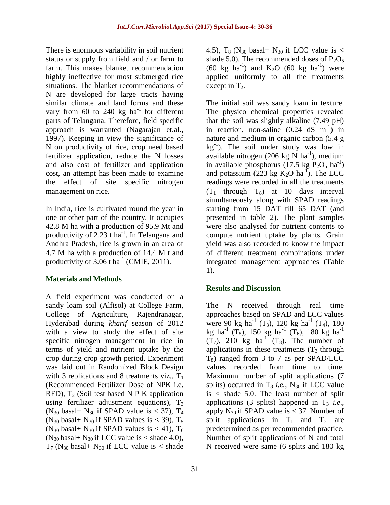There is enormous variability in soil nutrient status or supply from field and / or farm to farm. This makes blanket recommendation highly ineffective for most submerged rice situations. The blanket recommendations of N are developed for large tracts having similar climate and land forms and these vary from 60 to 240 kg  $ha^{-1}$  for different parts of Telangana. Therefore, field specific approach is warranted (Nagarajan et.al., 1997). Keeping in view the significance of N on productivity of rice, crop need based fertilizer application, reduce the N losses and also cost of fertilizer and application cost, an attempt has been made to examine the effect of site specific nitrogen management on rice.

In India, rice is cultivated round the year in one or other part of the country. It occupies 42.8 M ha with a production of 95.9 Mt and productivity of 2.23 t ha<sup>-1</sup>. In Telangana and Andhra Pradesh, rice is grown in an area of 4.7 M ha with a production of 14.4 M t and productivity of  $3.06$  t ha<sup>-1</sup> (CMIE, 2011).

### **Materials and Methods**

A field experiment was conducted on a sandy loam soil (Alfisol) at College Farm, College of Agriculture, Rajendranagar, Hyderabad during *kharif* season of 2012 with a view to study the effect of site specific nitrogen management in rice in terms of yield and nutrient uptake by the crop during crop growth period. Experiment was laid out in Randomized Block Design with 3 replications and 8 treatments viz.,  $T_1$ (Recommended Fertilizer Dose of NPK i.e. RFD),  $T_2$  (Soil test based N P K application using fertilizer adjustment equations),  $T_3$ (N<sub>30</sub> basal+ N<sub>30</sub> if SPAD value is < 37),  $T_4$ (N<sub>30</sub> basal+ N<sub>30</sub> if SPAD values is < 39),  $T_5$ (N<sub>30</sub> basal+ N<sub>30</sub> if SPAD values is < 41),  $T_6$ (N<sub>30</sub> basal+ N<sub>30</sub> if LCC value is < shade 4.0),  $T_7$  (N<sub>30</sub> basal+ N<sub>30</sub> if LCC value is < shade

4.5),  $T_8$  (N<sub>30</sub> basal+ N<sub>30</sub> if LCC value is < shade 5.0). The recommended doses of  $P_2O_5$  $(60 \text{ kg } ha^{-1})$  and  $K_2O$   $(60 \text{ kg } ha^{-1})$  were applied uniformly to all the treatments except in  $T_2$ .

The initial soil was sandy loam in texture. The physico chemical properties revealed that the soil was slightly alkaline (7.49 pH) in reaction, non-saline  $(0.24 \text{ dS} \text{ m}^{-1})$  in nature and medium in organic carbon (5.4 g  $kg^{-1}$ ). The soil under study was low in available nitrogen (206 kg  $\overrightarrow{N}$  ha<sup>-1</sup>), medium in available phosphorus  $(17.5 \text{ kg} \text{ P}_2\text{O}_5 \text{ ha}^{-1})$ and potassium (223 kg  $K_2O$  ha<sup>-1</sup>). The LCC readings were recorded in all the treatments  $(T_1$  through  $T_8$ ) at 10 days interval simultaneously along with SPAD readings starting from 15 DAT till 65 DAT (and presented in table 2). The plant samples were also analysed for nutrient contents to compute nutrient uptake by plants. Grain yield was also recorded to know the impact of different treatment combinations under integrated management approaches (Table 1).

### **Results and Discussion**

The N received through real time approaches based on SPAD and LCC values were 90 kg ha<sup>-1</sup> (T<sub>3</sub>), 120 kg ha<sup>-1</sup> (T<sub>4</sub>), 180 kg ha<sup>-1</sup> (T<sub>5</sub>), 150 kg ha<sup>-1</sup> (T<sub>6</sub>), 180 kg ha<sup>-1</sup>  $(T_7)$ , 210 kg ha<sup>-1</sup>  $(T_8)$ . The number of applications in these treatments  $(T_3)$  through  $T_8$ ) ranged from 3 to 7 as per SPAD/LCC values recorded from time to time. Maximum number of split applications (7 splits) occurred in  $T_8$  *i.e.*,  $N_{30}$  if LCC value  $is <$  shade 5.0. The least number of split applications  $(3 \text{ splits})$  happened in  $T_3$  *i.e.*, apply  $N_{30}$  if SPAD value is < 37. Number of split applications in  $T_1$  and  $T_2$  are predetermined as per recommended practice. Number of split applications of N and total N received were same (6 splits and 180 kg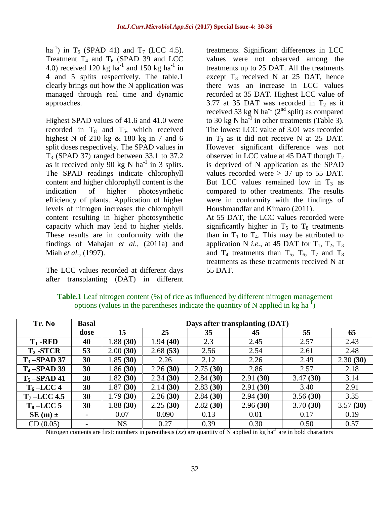ha<sup>-1</sup>) in T<sub>5</sub> (SPAD 41) and T<sub>7</sub> (LCC 4.5). Treatment  $T_4$  and  $T_6$  (SPAD 39 and LCC 4.0) received 120 kg ha<sup>-1</sup> and 150 kg ha<sup>-1</sup> in 4 and 5 splits respectively. The table.1 clearly brings out how the N application was managed through real time and dynamic approaches.

Highest SPAD values of 41.6 and 41.0 were recorded in  $T_8$  and  $T_5$ , which received highest N of 210 kg  $\&$  180 kg in 7 and 6 split doses respectively. The SPAD values in  $T_3$  (SPAD 37) ranged between 33.1 to 37.2 as it received only 90 kg N ha<sup>-1</sup> in 3 splits. The SPAD readings indicate chlorophyll content and higher chlorophyll content is the indication of higher photosynthetic efficiency of plants. Application of higher levels of nitrogen increases the chlorophyll content resulting in higher photosynthetic capacity which may lead to higher yields. These results are in conformity with the findings of Mahajan *et al.,* (2011a) and Miah *et al.,* (1997).

The LCC values recorded at different days after transplanting (DAT) in different

treatments. Significant differences in LCC values were not observed among the treatments up to 25 DAT. All the treatments except  $T_3$  received N at 25 DAT, hence there was an increase in LCC values recorded at 35 DAT. Highest LCC value of 3.77 at 35 DAT was recorded in  $T_2$  as it received 53 kg N ha<sup>-1</sup> (2<sup>nd</sup> split) as compared to 30 kg N ha<sup>-1</sup> in other treatments (Table 3). The lowest LCC value of 3.01 was recorded in  $T_3$  as it did not receive N at 25 DAT. However significant difference was not observed in LCC value at 45 DAT though  $T<sub>2</sub>$ is deprived of N application as the SPAD values recorded were  $> 37$  up to 55 DAT. But LCC values remained low in  $T_3$  as compared to other treatments. The results were in conformity with the findings of Houshmandfar and Kimaro (2011).

At 55 DAT, the LCC values recorded were significantly higher in  $T_5$  to  $T_8$  treatments than in  $T_1$  to  $T_4$ . This may be attributed to application N *i.e.*, at 45 DAT for  $T_1$ ,  $T_2$ ,  $T_3$ and  $T_4$  treatments than  $T_5$ ,  $T_6$ ,  $T_7$  and  $T_8$ treatments as these treatments received N at 55 DAT.

| Tr. No         | <b>Basal</b> | Days after transplanting (DAT) |          |          |          |          |          |
|----------------|--------------|--------------------------------|----------|----------|----------|----------|----------|
|                | dose         | 15                             | 25       | 35       | 45       | 55       | 65       |
| $T_1$ -RFD     | 40           | 1.88(30)                       | 1.94(40) | 2.3      | 2.45     | 2.57     | 2.43     |
| $T_2$ -STCR    | 53           | 2.00(30)                       | 2.68(53) | 2.56     | 2.54     | 2.61     | 2.48     |
| $T_3$ -SPAD 37 | 30           | 1.85(30)                       | 2.26     | 2.12     | 2.26     | 2.49     | 2.30(30) |
| $T_4$ -SPAD 39 | 30           | 1.86(30)                       | 2.26(30) | 2.75(30) | 2.86     | 2.57     | 2.18     |
| $T_5$ -SPAD 41 | 30           | 1.82(30)                       | 2.34(30) | 2.84(30) | 2.91(30) | 3.47(30) | 3.14     |
| $T_6$ -LCC 4   | 30           | 1.87(30)                       | 2.14(30) | 2.83(30) | 2.91(30) | 3.40     | 2.91     |
| $T_7$ -LCC 4.5 | 30           | 1.79(30)                       | 2.26(30) | 2.84(30) | 2.94(30) | 3.56(30) | 3.35     |
| $T_8$ -LCC 5   | 30           | 1.88(30)                       | 2.25(30) | 2.82(30) | 2.96(30) | 3.70(30) | 3.57(30) |
| $SE(m) \pm$    |              | 0.07                           | 0.090    | 0.13     | 0.01     | 0.17     | 0.19     |
| CD(0.05)       |              | <b>NS</b>                      | 0.27     | 0.39     | 0.30     | 0.50     | 0.57     |

**Table.1** Leaf nitrogen content (%) of rice as influenced by different nitrogen management options (values in the parentheses indicate the quantity of N applied in kg ha<sup>-I</sup>)

Nitrogen contents are first: numbers in parenthesis  $(xx)$  are quantity of N applied in kg ha<sup>-1</sup> are in bold characters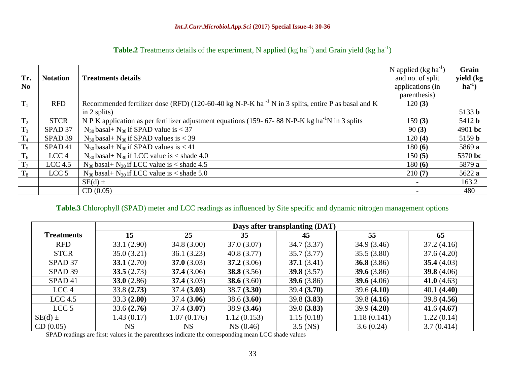| Tr.<br>N <sub>0</sub> | <b>Notation</b>    | <b>Treatments details</b>                                                                                     | N applied $(kg ha^{-1})$<br>and no. of split<br>applications (in<br>parenthesis) | Grain<br>yield (kg<br>$ha^{-1}$ |
|-----------------------|--------------------|---------------------------------------------------------------------------------------------------------------|----------------------------------------------------------------------------------|---------------------------------|
| $T_1$                 | <b>RFD</b>         | Recommended fertilizer dose (RFD) (120-60-40 kg N-P-K ha <sup>-1</sup> N in 3 splits, entire P as basal and K | 120(3)                                                                           |                                 |
|                       |                    | in $2$ splits)                                                                                                |                                                                                  | 5133 b                          |
| T <sub>2</sub>        | <b>STCR</b>        | N P K application as per fertilizer adjustment equations (159-67-88 N-P-K kg ha <sup>-1</sup> N in 3 splits   | 159(3)                                                                           | 5412 <b>b</b>                   |
| $T_3$                 | SPAD 37            | $N_{30}$ basal+ $N_{30}$ if SPAD value is < 37                                                                | 90(3)                                                                            | 4901 bc                         |
| T <sub>4</sub>        | SPAD <sub>39</sub> | $N_{30}$ basal+ $N_{30}$ if SPAD values is < 39                                                               | 120(4)                                                                           | 5159 b                          |
| $T_5$                 | SPAD <sub>41</sub> | $N_{30}$ basal+ $N_{30}$ if SPAD values is < 41                                                               | 180(6)                                                                           | 5869 a                          |
| $T_6$                 | LCC <sub>4</sub>   | $N_{30}$ basal+ $N_{30}$ if LCC value is < shade 4.0                                                          | 150(5)                                                                           | 5370 bc                         |
| $T_7$                 | LCC <sub>4.5</sub> | $N_{30}$ basal+ $N_{30}$ if LCC value is < shade 4.5                                                          | 180(6)                                                                           | 5879 a                          |
| $T_8$                 | LCC <sub>5</sub>   | $N_{30}$ basal+ $N_{30}$ if LCC value is < shade 5.0                                                          | 210(7)                                                                           | 5622 a                          |
|                       |                    | $SE(d) \pm$                                                                                                   |                                                                                  | 163.2                           |
|                       |                    | CD(0.05)                                                                                                      |                                                                                  | 480                             |

| <b>Table.2</b> Treatments details of the experiment, N applied (kg ha <sup>-1</sup> ) and Grain yield (kg ha <sup>-1</sup> ) |
|------------------------------------------------------------------------------------------------------------------------------|
|------------------------------------------------------------------------------------------------------------------------------|

## **Table.3** Chlorophyll (SPAD) meter and LCC readings as influenced by Site specific and dynamic nitrogen management options

|                    | Days after transplanting (DAT) |             |               |               |               |               |
|--------------------|--------------------------------|-------------|---------------|---------------|---------------|---------------|
| <b>Treatments</b>  | 15                             | 25          | 35            | 45            | 55            | 65            |
| <b>RFD</b>         | 33.1(2.90)                     | 34.8(3.00)  | 37.0(3.07)    | 34.7(3.37)    | 34.9(3.46)    | 37.2(4.16)    |
| <b>STCR</b>        | 35.0(3.21)                     | 36.1(3.23)  | 40.8(3.77)    | 35.7(3.77)    | 35.5(3.80)    | 37.6(4.20)    |
| SPAD 37            | 33.1 $(2.70)$                  | 37.0(3.03)  | 37.2(3.06)    | 37.1(3.41)    | 36.8 $(3.86)$ | 35.4 $(4.03)$ |
| SPAD 39            | 33.5(2.73)                     | 37.4(3.06)  | 38.8 $(3.56)$ | 39.8 $(3.57)$ | 39.6 $(3.86)$ | 39.8 $(4.06)$ |
| SPAD <sub>41</sub> | 33.0(2.86)                     | 37.4(3.03)  | 38.6 $(3.60)$ | 39.6 $(3.86)$ | 39.6 $(4.06)$ | 41.0 $(4.63)$ |
| LCC <sub>4</sub>   | 33.8(2.73)                     | 37.4(3.03)  | 38.7(3.30)    | 39.4(3.70)    | 39.6(4.10)    | 40.1(4.40)    |
| $LCC$ 4.5          | 33.3(2.80)                     | 37.4(3.06)  | 38.6(3.60)    | 39.8(3.83)    | 39.8(4.16)    | 39.8(4.56)    |
| LCC <sub>5</sub>   | 33.6(2.76)                     | 37.4(3.07)  | 38.9(3.46)    | 39.0(3.83)    | 39.9(4.20)    | 41.6(4.67)    |
| $SE(d) \pm$        | 1.43(0.17)                     | 1.07(0.176) | 1.12(0.153)   | 1.15(0.18)    | 1.18(0.141)   | 1.22(0.14)    |
| CD(0.05)           | <b>NS</b>                      | <b>NS</b>   | NS(0.46)      | $3.5$ (NS)    | 3.6(0.24)     | 3.7(0.414)    |

SPAD readings are first: values in the parentheses indicate the corresponding mean LCC shade values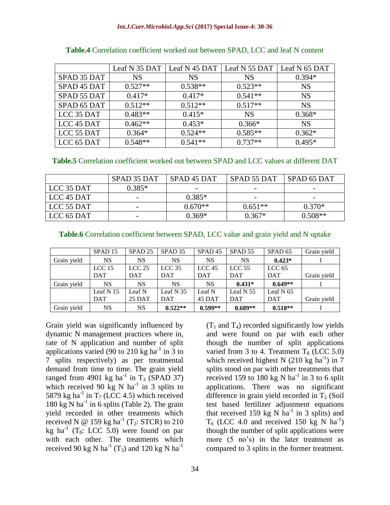|             | Leaf N 35 DAT | $\vert$ Leaf N 45 DAT $\vert$ Leaf N 55 DAT |           | Leaf N 65 DAT |
|-------------|---------------|---------------------------------------------|-----------|---------------|
| SPAD 35 DAT | <b>NS</b>     | <b>NS</b>                                   | <b>NS</b> | $0.394*$      |
| SPAD 45 DAT | $0.527**$     | $0.538**$                                   | $0.523**$ | <b>NS</b>     |
| SPAD 55 DAT | $0.417*$      | $0.417*$                                    | $0.541**$ | <b>NS</b>     |
| SPAD 65 DAT | $0.512**$     | $0.512**$                                   | $0.517**$ | <b>NS</b>     |
| LCC 35 DAT  | $0.483**$     | $0.415*$                                    | <b>NS</b> | $0.368*$      |
| LCC 45 DAT  | $0.462**$     | $0.453*$                                    | $0.366*$  | <b>NS</b>     |
| LCC 55 DAT  | $0.364*$      | $0.524**$                                   | $0.585**$ | $0.362*$      |
| LCC 65 DAT  | $0.548**$     | $0.541**$                                   | $0.737**$ | $0.495*$      |

**Table.4** Correlation coefficient worked out between SPAD, LCC and leaf N content

**Table.5** Correlation coefficient worked out between SPAD and LCC values at different DAT

|            | SPAD 35 DAT | SPAD <sub>45</sub> DAT | SPAD 55 DAT              | SPAD 65 DAT |
|------------|-------------|------------------------|--------------------------|-------------|
| LCC 35 DAT | $0.385*$    |                        | $\overline{\phantom{0}}$ |             |
| LCC 45 DAT |             | $0.385*$               | $\overline{\phantom{a}}$ |             |
| LCC 55 DAT |             | $0.670**$              | $0.651**$                | $0.370*$    |
| LCC 65 DAT |             | $0.369*$               | $0.367*$                 | $0.508**$   |

|             | SPAD <sub>15</sub> | SPAD <sub>25</sub> | SPAD <sub>35</sub> | SPAD <sub>45</sub> | SPAD <sub>55</sub> | SPAD <sub>65</sub> | Grain yield |
|-------------|--------------------|--------------------|--------------------|--------------------|--------------------|--------------------|-------------|
| Grain yield | NS                 | NS                 | NS                 | NS                 | NS                 | $0.423*$           |             |
|             | LCC <sub>15</sub>  | $LCC$ 25           | LCC <sub>35</sub>  | LCC <sub>45</sub>  | $LCC$ 55           | LCC $65$           |             |
|             | <b>DAT</b>         | <b>DAT</b>         | <b>DAT</b>         | <b>DAT</b>         | <b>DAT</b>         | <b>DAT</b>         | Grain yield |
| Grain yield | NS                 | <b>NS</b>          | <b>NS</b>          | <b>NS</b>          | $0.431*$           | $0.649**$          |             |
|             | Leaf $N15$         | Leaf N             | Leaf $N$ 35        | Leaf N             | Leaf $N$ 55        | Leaf N $65$        |             |
|             |                    |                    |                    |                    |                    |                    |             |
|             | <b>DAT</b>         | 25 DAT             | <b>DAT</b>         | 45 DAT             | <b>DAT</b>         | DAT                | Grain yield |

Grain yield was significantly influenced by dynamic N management practices where in, rate of N application and number of split applications varied (90 to 210 kg ha<sup>-1</sup> in  $\overline{3}$  to 7 splits respectively) as per treatmental demand from time to time. The grain yield ranged from 4901 kg ha<sup>-1</sup> in T<sub>3</sub> (SPAD 37) which received 90 kg N ha<sup>-1</sup> in 3 splits to 5879 kg ha<sup>-1</sup> in T<sub>7</sub> (LCC 4.5) which received  $180 \text{ kg}$  N ha<sup>-1</sup> in 6 splits (Table 2). The grain yield recorded in other treatments which received N  $\omega$  159 kg ha<sup>-1</sup> (T<sub>2</sub>: STCR) to 210 kg ha<sup>-1</sup> (T<sub>8</sub>: LCC 5.0) were found on par with each other. The treatments which received 90 kg N ha<sup>-1</sup> (T<sub>3</sub>) and 120 kg N ha<sup>-1</sup>

 $(T_1$  and  $T_4$ ) recorded significantly low yields and were found on par with each other though the number of split applications varied from 3 to 4. Treatment  $T_8$  (LCC 5.0) which received highest N  $(210 \text{ kg ha}^{-1})$  in 7 splits stood on par with other treatments that received 159 to 180 kg N ha<sup>-1</sup> in 3 to 6 split applications. There was no significant difference in grain yield recorded in  $T_2$  (Soil test based fertilizer adjustment equations that received 159 kg N  $ha^{-1}$  in 3 splits) and  $T_6$  (LCC 4.0 and received 150 kg N ha<sup>-1</sup>) though the number of split applications were more (5 no's) in the later treatment as compared to 3 splits in the former treatment.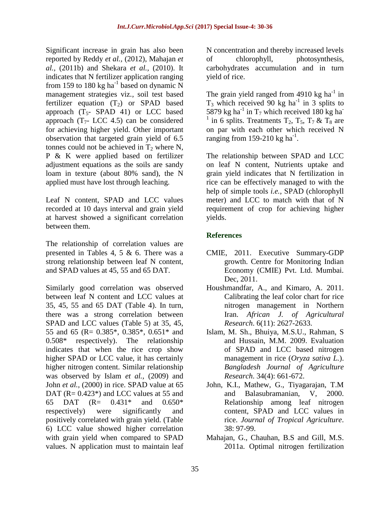Significant increase in grain has also been reported by Reddy *et al.,* (2012), Mahajan *et al.,* (2011b) and Shekara *et al.,* (2010). It indicates that N fertilizer application ranging from 159 to 180 kg ha<sup>-1</sup> based on dynamic N management strategies viz*.,* soil test based fertilizer equation  $(T_2)$  or SPAD based approach  $(T<sub>5</sub>-$  SPAD 41) or LCC based approach  $(T<sub>7</sub>- LCC 4.5)$  can be considered for achieving higher yield. Other important observation that targeted grain yield of 6.5 tonnes could not be achieved in  $T_2$  where N, P & K were applied based on fertilizer adjustment equations as the soils are sandy loam in texture (about 80% sand), the N applied must have lost through leaching.

Leaf N content, SPAD and LCC values recorded at 10 days interval and grain yield at harvest showed a significant correlation between them.

The relationship of correlation values are presented in Tables 4, 5 & 6. There was a strong relationship between leaf N content, and SPAD values at 45, 55 and 65 DAT.

Similarly good correlation was observed between leaf N content and LCC values at 35, 45, 55 and 65 DAT (Table 4). In turn, there was a strong correlation between SPAD and LCC values (Table 5) at 35, 45, 55 and 65 (R= 0.385\*, 0.385\*, 0.651\* and 0.508\* respectively). The relationship indicates that when the rice crop show higher SPAD or LCC value, it has certainly higher nitrogen content. Similar relationship was observed by Islam *et al.,* (2009) and John *et al.,* (2000) in rice. SPAD value at 65 DAT (R=  $0.423^*$ ) and LCC values at 55 and 65 DAT (R= 0.431\* and 0.650\* respectively) were significantly and positively correlated with grain yield. (Table 6) LCC value showed higher correlation with grain yield when compared to SPAD values. N application must to maintain leaf

N concentration and thereby increased levels of chlorophyll, photosynthesis, carbohydrates accumulation and in turn yield of rice.

The grain yield ranged from  $4910$  kg ha<sup>-1</sup> in  $T_3$  which received 90 kg ha<sup>-1</sup> in 3 splits to 5879 kg ha<sup>-1</sup> in T<sub>7</sub> which received 180 kg ha<sup>-1</sup> 1 in 6 splits. Treatments  $T_2$ ,  $T_5$ ,  $T_7$  &  $T_8$  are on par with each other which received N ranging from 159-210 kg  $ha^{-1}$ .

The relationship between SPAD and LCC on leaf N content, Nutrients uptake and grain yield indicates that N fertilization in rice can be effectively managed to with the help of simple tools *i.e.,* SPAD (chlorophyll meter) and LCC to match with that of N requirement of crop for achieving higher yields.

## **References**

- CMIE, 2011. Executive Summary-GDP growth. Centre for Monitoring Indian Economy (CMIE) Pvt. Ltd. Mumbai. Dec, 2011.
- Houshmandfar, A., and Kimaro, A. 2011. Calibrating the leaf color chart for rice nitrogen management in Northern Iran. *African J. of Agricultural Research*. 6(11): 2627-2633.
- Islam, M. Sh., Bhuiya, M.S.U., Rahman, S and Hussain, M.M. 2009. Evaluation of SPAD and LCC based nitrogen management in rice (*Oryza sativa L.*). *Bangladesh Journal of Agriculture Research*. 34(4): 661-672.
- John, K.I., Mathew, G., Tiyagarajan, T.M and Balasubramanian, V, 2000. Relationship among leaf nitrogen content, SPAD and LCC values in rice. *Journal of Tropical Agriculture*. 38: 97-99.
- Mahajan, G., Chauhan, B.S and Gill, M.S. 2011a. Optimal nitrogen fertilization